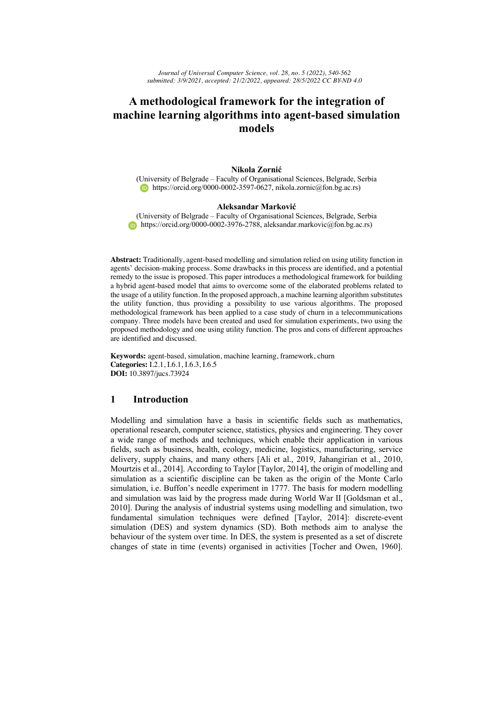*Journal of Universal Computer Science, vol. 28, no. 5 (2022), 540-562 submitted: 3/9/2021, accepted: 21/2/2022, appeared: 28/5/2022 CC BY-ND 4.0*

# **A methodological framework for the integration of machine learning algorithms into agent-based simulation models**

#### **Nikola Zornić**

(University of Belgrade – Faculty of Organisational Sciences, Belgrade, Serbia https://orcid.org/0000-0002-3597-0627, nikola.zornic@fon.bg.ac.rs)

#### **Aleksandar Marković**

(University of Belgrade – Faculty of Organisational Sciences, Belgrade, Serbia https://orcid.org/0000-0002-3976-2788, aleksandar.markovic@fon.bg.ac.rs)

**Abstract:** Traditionally, agent-based modelling and simulation relied on using utility function in agents' decision-making process. Some drawbacks in this process are identified, and a potential remedy to the issue is proposed. This paper introduces a methodological framework for building a hybrid agent-based model that aims to overcome some of the elaborated problems related to the usage of a utility function. In the proposed approach, a machine learning algorithm substitutes the utility function, thus providing a possibility to use various algorithms. The proposed methodological framework has been applied to a case study of churn in a telecommunications company. Three models have been created and used for simulation experiments, two using the proposed methodology and one using utility function. The pros and cons of different approaches are identified and discussed.

**Keywords:** agent-based, simulation, machine learning, framework, churn **Categories:** I.2.1, I.6.1, I.6.3, I.6.5 **DOI:** 10.3897/jucs.73924

# **1 Introduction**

Modelling and simulation have a basis in scientific fields such as mathematics, operational research, computer science, statistics, physics and engineering. They cover a wide range of methods and techniques, which enable their application in various fields, such as business, health, ecology, medicine, logistics, manufacturing, service delivery, supply chains, and many others [Ali et al., 2019, Jahangirian et al., 2010, Mourtzis et al., 2014]. According to Taylor [Taylor, 2014], the origin of modelling and simulation as a scientific discipline can be taken as the origin of the Monte Carlo simulation, i.e. Buffon's needle experiment in 1777. The basis for modern modelling and simulation was laid by the progress made during World War II [Goldsman et al., 2010]. During the analysis of industrial systems using modelling and simulation, two fundamental simulation techniques were defined [Taylor, 2014]: discrete-event simulation (DES) and system dynamics (SD). Both methods aim to analyse the behaviour of the system over time. In DES, the system is presented as a set of discrete changes of state in time (events) organised in activities [Tocher and Owen, 1960].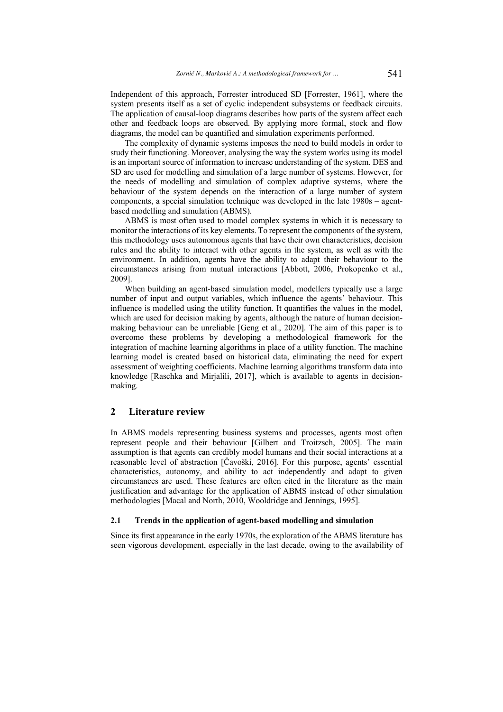Independent of this approach, Forrester introduced SD [Forrester, 1961], where the system presents itself as a set of cyclic independent subsystems or feedback circuits. The application of causal-loop diagrams describes how parts of the system affect each other and feedback loops are observed. By applying more formal, stock and flow diagrams, the model can be quantified and simulation experiments performed.

The complexity of dynamic systems imposes the need to build models in order to study their functioning. Moreover, analysing the way the system works using its model is an important source of information to increase understanding of the system. DES and SD are used for modelling and simulation of a large number of systems. However, for the needs of modelling and simulation of complex adaptive systems, where the behaviour of the system depends on the interaction of a large number of system components, a special simulation technique was developed in the late 1980s – agentbased modelling and simulation (ABMS).

ABMS is most often used to model complex systems in which it is necessary to monitor the interactions of its key elements. To represent the components of the system, this methodology uses autonomous agents that have their own characteristics, decision rules and the ability to interact with other agents in the system, as well as with the environment. In addition, agents have the ability to adapt their behaviour to the circumstances arising from mutual interactions [Abbott, 2006, Prokopenko et al., 2009].

When building an agent-based simulation model, modellers typically use a large number of input and output variables, which influence the agents' behaviour. This influence is modelled using the utility function. It quantifies the values in the model, which are used for decision making by agents, although the nature of human decisionmaking behaviour can be unreliable [Geng et al., 2020]. The aim of this paper is to overcome these problems by developing a methodological framework for the integration of machine learning algorithms in place of a utility function. The machine learning model is created based on historical data, eliminating the need for expert assessment of weighting coefficients. Machine learning algorithms transform data into knowledge [Raschka and Mirjalili, 2017], which is available to agents in decisionmaking.

# **2 Literature review**

In ABMS models representing business systems and processes, agents most often represent people and their behaviour [Gilbert and Troitzsch, 2005]. The main assumption is that agents can credibly model humans and their social interactions at a reasonable level of abstraction [Čavoški, 2016]. For this purpose, agents' essential characteristics, autonomy, and ability to act independently and adapt to given circumstances are used. These features are often cited in the literature as the main justification and advantage for the application of ABMS instead of other simulation methodologies [Macal and North, 2010, Wooldridge and Jennings, 1995].

#### **2.1 Trends in the application of agent-based modelling and simulation**

Since its first appearance in the early 1970s, the exploration of the ABMS literature has seen vigorous development, especially in the last decade, owing to the availability of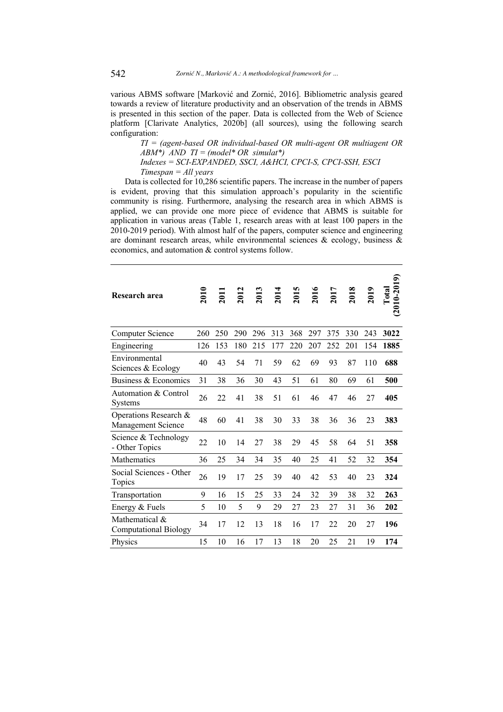various ABMS software [Marković and Zornić, 2016]. Bibliometric analysis geared towards a review of literature productivity and an observation of the trends in ABMS is presented in this section of the paper. Data is collected from the Web of Science platform [Clarivate Analytics, 2020b] (all sources), using the following search configuration:

*TI = (agent-based OR individual-based OR multi-agent OR multiagent OR ABM\*) AND TI = (model\* OR simulat\*) Indexes = SCI-EXPANDED, SSCI, A&HCI, CPCI-S, CPCI-SSH, ESCI Timespan = All years*

Data is collected for 10,286 scientific papers. The increase in the number of papers is evident, proving that this simulation approach's popularity in the scientific community is rising. Furthermore, analysing the research area in which ABMS is applied, we can provide one more piece of evidence that ABMS is suitable for application in various areas (Table 1, research areas with at least 100 papers in the 2010-2019 period). With almost half of the papers, computer science and engineering are dominant research areas, while environmental sciences  $\&$  ecology, business  $\&$ economics, and automation & control systems follow.

| Research area                                  | 2010 | $\overline{2}$ | 2012 | 2013 | 2014 | 2015 | 2016 | 2017 | 2018 | 2019 | Total<br>(2010-2019) |
|------------------------------------------------|------|----------------|------|------|------|------|------|------|------|------|----------------------|
| <b>Computer Science</b>                        | 260  | 250            | 290  | 296  | 313  | 368  | 297  | 375  | 330  | 243  | 3022                 |
| Engineering                                    | 126  | 153            | 180  | 215  | 177  | 220  | 207  | 252  | 201  | 154  | 1885                 |
| Environmental<br>Sciences & Ecology            | 40   | 43             | 54   | 71   | 59   | 62   | 69   | 93   | 87   | 110  | 688                  |
| Business & Economics                           | 31   | 38             | 36   | 30   | 43   | 51   | 61   | 80   | 69   | 61   | 500                  |
| Automation & Control<br>Systems                | 26   | 22             | 41   | 38   | 51   | 61   | 46   | 47   | 46   | 27   | 405                  |
| Operations Research &<br>Management Science    | 48   | 60             | 41   | 38   | 30   | 33   | 38   | 36   | 36   | 23   | 383                  |
| Science & Technology<br>- Other Topics         | 22   | 10             | 14   | 27   | 38   | 29   | 45   | 58   | 64   | 51   | 358                  |
| <b>Mathematics</b>                             | 36   | 25             | 34   | 34   | 35   | 40   | 25   | 41   | 52   | 32   | 354                  |
| Social Sciences - Other<br>Topics              | 26   | 19             | 17   | 25   | 39   | 40   | 42   | 53   | 40   | 23   | 324                  |
| Transportation                                 | 9    | 16             | 15   | 25   | 33   | 24   | 32   | 39   | 38   | 32   | 263                  |
| Energy & Fuels                                 | 5    | 10             | 5    | 9    | 29   | 27   | 23   | 27   | 31   | 36   | 202                  |
| Mathematical &<br><b>Computational Biology</b> | 34   | 17             | 12   | 13   | 18   | 16   | 17   | 22   | 20   | 27   | 196                  |
| Physics                                        | 15   | 10             | 16   | 17   | 13   | 18   | 20   | 25   | 21   | 19   | 174                  |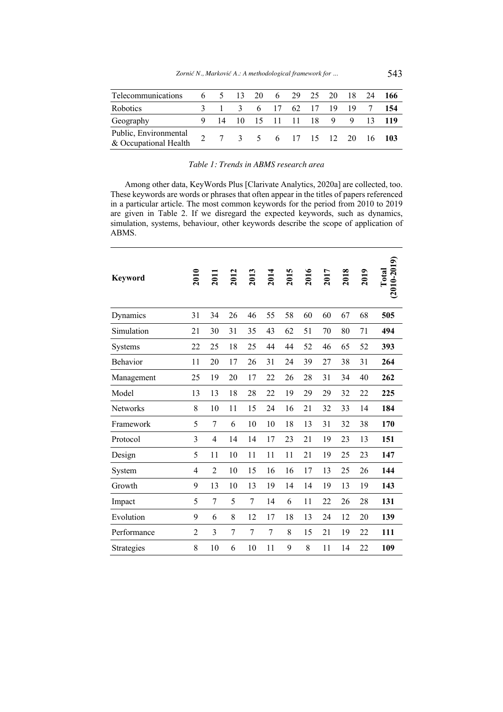| Telecommunications 6 5 13 20 6 29 25 20 18 24 166 |                                |  |  |  |  |                              |
|---------------------------------------------------|--------------------------------|--|--|--|--|------------------------------|
| Robotics                                          | 3 1 3 6 17 62 17 19 19 7 154   |  |  |  |  |                              |
| Geography                                         | 9 14 10 15 11 11 18 9 9 13 119 |  |  |  |  |                              |
| Public, Environmental<br>& Occupational Health    |                                |  |  |  |  | 2 7 3 5 6 17 15 12 20 16 103 |

# *Table 1: Trends in ABMS research area*

Among other data, KeyWords Plus [Clarivate Analytics, 2020a] are collected, too. These keywords are words or phrases that often appear in the titles of papers referenced in a particular article. The most common keywords for the period from 2010 to 2019 are given in Table 2. If we disregard the expected keywords, such as dynamics, simulation, systems, behaviour, other keywords describe the scope of application of ABMS.

| <b>Keyword</b>  | 2010           | 2011           | 2012 | 2013 | 2014 | 2015 | 2016 | 2017 | 2018 | 2019 | Total<br>(2010-2019) |
|-----------------|----------------|----------------|------|------|------|------|------|------|------|------|----------------------|
| Dynamics        | 31             | 34             | 26   | 46   | 55   | 58   | 60   | 60   | 67   | 68   | 505                  |
| Simulation      | 21             | 30             | 31   | 35   | 43   | 62   | 51   | 70   | 80   | 71   | 494                  |
| Systems         | 22             | 25             | 18   | 25   | 44   | 44   | 52   | 46   | 65   | 52   | 393                  |
| Behavior        | 11             | 20             | 17   | 26   | 31   | 24   | 39   | 27   | 38   | 31   | 264                  |
| Management      | 25             | 19             | 20   | 17   | 22   | 26   | 28   | 31   | 34   | 40   | 262                  |
| Model           | 13             | 13             | 18   | 28   | 22   | 19   | 29   | 29   | 32   | 22   | 225                  |
| <b>Networks</b> | 8              | 10             | 11   | 15   | 24   | 16   | 21   | 32   | 33   | 14   | 184                  |
| Framework       | 5              | 7              | 6    | 10   | 10   | 18   | 13   | 31   | 32   | 38   | 170                  |
| Protocol        | 3              | 4              | 14   | 14   | 17   | 23   | 21   | 19   | 23   | 13   | 151                  |
| Design          | 5              | 11             | 10   | 11   | 11   | 11   | 21   | 19   | 25   | 23   | 147                  |
| System          | $\overline{4}$ | $\overline{2}$ | 10   | 15   | 16   | 16   | 17   | 13   | 25   | 26   | 144                  |
| Growth          | 9              | 13             | 10   | 13   | 19   | 14   | 14   | 19   | 13   | 19   | 143                  |
| Impact          | 5              | 7              | 5    | 7    | 14   | 6    | 11   | 22   | 26   | 28   | 131                  |
| Evolution       | 9              | 6              | 8    | 12   | 17   | 18   | 13   | 24   | 12   | 20   | 139                  |
| Performance     | $\overline{2}$ | 3              | 7    | 7    | 7    | 8    | 15   | 21   | 19   | 22   | 111                  |
| Strategies      | 8              | 10             | 6    | 10   | 11   | 9    | 8    | 11   | 14   | 22   | 109                  |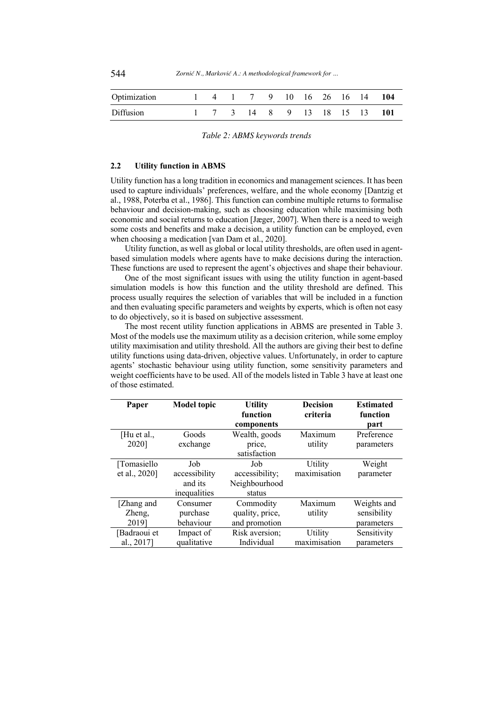| Optimization     |  |  |  |  | 1 4 1 7 9 10 16 26 16 14 104 |  |
|------------------|--|--|--|--|------------------------------|--|
| <b>Diffusion</b> |  |  |  |  | 1 7 3 14 8 9 13 18 15 13 101 |  |

*Table 2: ABMS keywords trends*

#### **2.2 Utility function in ABMS**

Utility function has a long tradition in economics and management sciences. It has been used to capture individuals' preferences, welfare, and the whole economy [Dantzig et al., 1988, Poterba et al., 1986]. This function can combine multiple returns to formalise behaviour and decision-making, such as choosing education while maximising both economic and social returns to education [Jæger, 2007]. When there is a need to weigh some costs and benefits and make a decision, a utility function can be employed, even when choosing a medication [van Dam et al., 2020].

Utility function, as well as global or local utility thresholds, are often used in agentbased simulation models where agents have to make decisions during the interaction. These functions are used to represent the agent's objectives and shape their behaviour.

One of the most significant issues with using the utility function in agent-based simulation models is how this function and the utility threshold are defined. This process usually requires the selection of variables that will be included in a function and then evaluating specific parameters and weights by experts, which is often not easy to do objectively, so it is based on subjective assessment.

The most recent utility function applications in ABMS are presented in Table 3. Most of the models use the maximum utility as a decision criterion, while some employ utility maximisation and utility threshold. All the authors are giving their best to define utility functions using data-driven, objective values. Unfortunately, in order to capture agents' stochastic behaviour using utility function, some sensitivity parameters and weight coefficients have to be used. All of the models listed in Table 3 have at least one of those estimated.

| Paper         | <b>Model topic</b> | <b>Utility</b><br>function | <b>Decision</b><br>criteria | <b>Estimated</b><br>function |
|---------------|--------------------|----------------------------|-----------------------------|------------------------------|
|               |                    | components                 |                             | part                         |
| [Hu et al.,   | Goods              | Wealth, goods              | Maximum                     | Preference                   |
| 2020]         | exchange           | price,                     | utility                     | parameters                   |
|               |                    | satisfaction               |                             |                              |
| [Tomasiello   | Job                | Job                        | Utility                     | Weight                       |
| et al., 2020] | accessibility      | accessibility;             | maximisation                | parameter                    |
|               | and its            | Neighbourhood              |                             |                              |
|               | inequalities       | status                     |                             |                              |
| [Zhang and    | Consumer           | Commodity                  | Maximum                     | Weights and                  |
| Zheng,        | purchase           | quality, price,            | utility                     | sensibility                  |
| 20191         | behaviour          | and promotion              |                             | parameters                   |
| [Badraoui et  | Impact of          | Risk aversion;             | Utility                     | Sensitivity                  |
| al., 2017]    | qualitative        | Individual                 | maximisation                | parameters                   |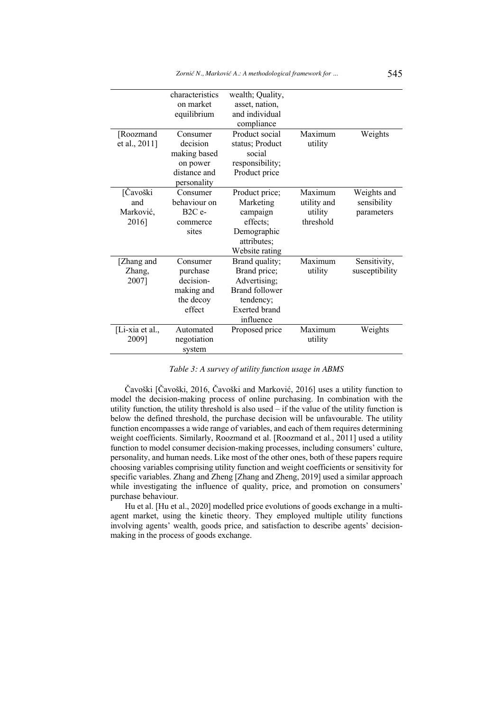|                 | characteristics<br>on market | wealth; Quality,<br>asset, nation, |             |                |
|-----------------|------------------------------|------------------------------------|-------------|----------------|
|                 | equilibrium                  | and individual<br>compliance       |             |                |
| [Roozmand       | Consumer                     | Product social                     | Maximum     | Weights        |
| et al., 2011]   | decision                     | status; Product                    | utility     |                |
|                 | making based                 | social                             |             |                |
|                 | on power                     | responsibility;                    |             |                |
|                 | distance and                 | Product price                      |             |                |
|                 | personality                  |                                    |             |                |
| [Čavoški        | Consumer                     | Product price;                     | Maximum     | Weights and    |
| and             | behaviour on                 | Marketing                          | utility and | sensibility    |
| Marković.       | $B2C$ e-                     | campaign                           | utility     | parameters     |
| 2016]           | commerce                     | effects;                           | threshold   |                |
|                 | sites                        | Demographic                        |             |                |
|                 |                              | attributes;                        |             |                |
|                 |                              | Website rating                     |             |                |
| [Zhang and      | Consumer                     | Brand quality;                     | Maximum     | Sensitivity,   |
| Zhang,          | purchase                     | Brand price;                       | utility     | susceptibility |
| 2007]           | decision-                    | Advertising;                       |             |                |
|                 | making and                   | <b>Brand follower</b>              |             |                |
|                 | the decoy                    | tendency;                          |             |                |
|                 | effect                       | <b>Exerted</b> brand               |             |                |
|                 |                              | influence                          |             |                |
| [Li-xia et al., | Automated                    | Proposed price                     | Maximum     | Weights        |
| 2009]           | negotiation                  |                                    | utility     |                |
|                 | system                       |                                    |             |                |

*Table 3: A survey of utility function usage in ABMS*

Čavoški [Čavoški, 2016, Čavoški and Marković, 2016] uses a utility function to model the decision-making process of online purchasing. In combination with the utility function, the utility threshold is also used – if the value of the utility function is below the defined threshold, the purchase decision will be unfavourable. The utility function encompasses a wide range of variables, and each of them requires determining weight coefficients. Similarly, Roozmand et al. [Roozmand et al., 2011] used a utility function to model consumer decision-making processes, including consumers' culture, personality, and human needs. Like most of the other ones, both of these papers require choosing variables comprising utility function and weight coefficients or sensitivity for specific variables. Zhang and Zheng [Zhang and Zheng, 2019] used a similar approach while investigating the influence of quality, price, and promotion on consumers' purchase behaviour.

Hu et al. [Hu et al., 2020] modelled price evolutions of goods exchange in a multiagent market, using the kinetic theory. They employed multiple utility functions involving agents' wealth, goods price, and satisfaction to describe agents' decisionmaking in the process of goods exchange.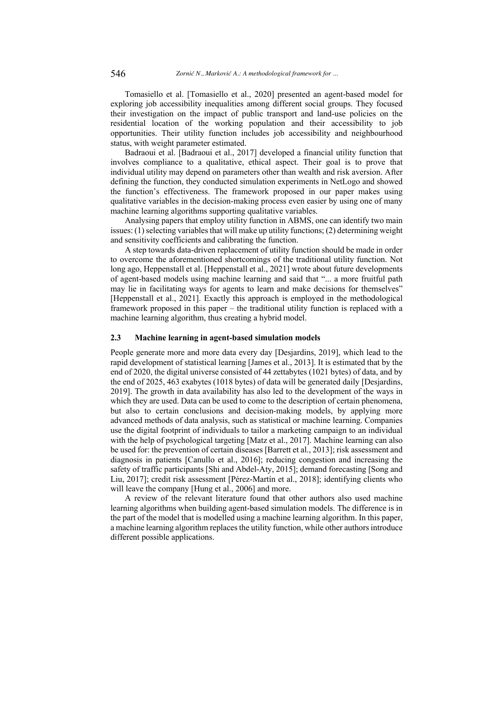Tomasiello et al. [Tomasiello et al., 2020] presented an agent-based model for exploring job accessibility inequalities among different social groups. They focused their investigation on the impact of public transport and land-use policies on the residential location of the working population and their accessibility to job opportunities. Their utility function includes job accessibility and neighbourhood status, with weight parameter estimated.

Badraoui et al. [Badraoui et al., 2017] developed a financial utility function that involves compliance to a qualitative, ethical aspect. Their goal is to prove that individual utility may depend on parameters other than wealth and risk aversion. After defining the function, they conducted simulation experiments in NetLogo and showed the function's effectiveness. The framework proposed in our paper makes using qualitative variables in the decision-making process even easier by using one of many machine learning algorithms supporting qualitative variables.

Analysing papers that employ utility function in ABMS, one can identify two main issues: (1) selecting variables that will make up utility functions; (2) determining weight and sensitivity coefficients and calibrating the function.

A step towards data-driven replacement of utility function should be made in order to overcome the aforementioned shortcomings of the traditional utility function. Not long ago, Heppenstall et al. [Heppenstall et al., 2021] wrote about future developments of agent-based models using machine learning and said that "... a more fruitful path may lie in facilitating ways for agents to learn and make decisions for themselves" [Heppenstall et al., 2021]. Exactly this approach is employed in the methodological framework proposed in this paper – the traditional utility function is replaced with a machine learning algorithm, thus creating a hybrid model.

#### **2.3 Machine learning in agent-based simulation models**

People generate more and more data every day [Desjardins, 2019], which lead to the rapid development of statistical learning [James et al., 2013]. It is estimated that by the end of 2020, the digital universe consisted of 44 zettabytes (1021 bytes) of data, and by the end of 2025, 463 exabytes (1018 bytes) of data will be generated daily [Desjardins, 2019]. The growth in data availability has also led to the development of the ways in which they are used. Data can be used to come to the description of certain phenomena, but also to certain conclusions and decision-making models, by applying more advanced methods of data analysis, such as statistical or machine learning. Companies use the digital footprint of individuals to tailor a marketing campaign to an individual with the help of psychological targeting [Matz et al., 2017]. Machine learning can also be used for: the prevention of certain diseases [Barrett et al., 2013]; risk assessment and diagnosis in patients [Canullo et al., 2016]; reducing congestion and increasing the safety of traffic participants [Shi and Abdel-Aty, 2015]; demand forecasting [Song and Liu, 2017]; credit risk assessment [Pérez-Martín et al., 2018]; identifying clients who will leave the company [Hung et al., 2006] and more.

A review of the relevant literature found that other authors also used machine learning algorithms when building agent-based simulation models. The difference is in the part of the model that is modelled using a machine learning algorithm. In this paper, a machine learning algorithm replaces the utility function, while other authors introduce different possible applications.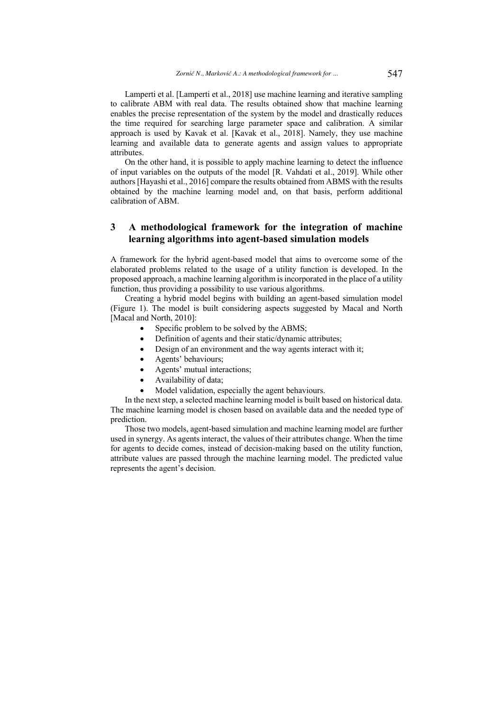Lamperti et al. [Lamperti et al., 2018] use machine learning and iterative sampling to calibrate ABM with real data. The results obtained show that machine learning enables the precise representation of the system by the model and drastically reduces the time required for searching large parameter space and calibration. A similar approach is used by Kavak et al. [Kavak et al., 2018]. Namely, they use machine learning and available data to generate agents and assign values to appropriate attributes.

On the other hand, it is possible to apply machine learning to detect the influence of input variables on the outputs of the model [R. Vahdati et al., 2019]. While other authors [Hayashi et al., 2016] compare the results obtained from ABMS with the results obtained by the machine learning model and, on that basis, perform additional calibration of ABM.

# **3 A methodological framework for the integration of machine learning algorithms into agent-based simulation models**

A framework for the hybrid agent-based model that aims to overcome some of the elaborated problems related to the usage of a utility function is developed. In the proposed approach, a machine learning algorithm is incorporated in the place of a utility function, thus providing a possibility to use various algorithms.

Creating a hybrid model begins with building an agent-based simulation model (Figure 1). The model is built considering aspects suggested by Macal and North [Macal and North, 2010]:

- Specific problem to be solved by the ABMS;
- Definition of agents and their static/dynamic attributes;
- Design of an environment and the way agents interact with it;
- Agents' behaviours;
- Agents' mutual interactions:
- Availability of data;
- Model validation, especially the agent behaviours.

In the next step, a selected machine learning model is built based on historical data. The machine learning model is chosen based on available data and the needed type of prediction.

Those two models, agent-based simulation and machine learning model are further used in synergy. As agents interact, the values of their attributes change. When the time for agents to decide comes, instead of decision-making based on the utility function, attribute values are passed through the machine learning model. The predicted value represents the agent's decision.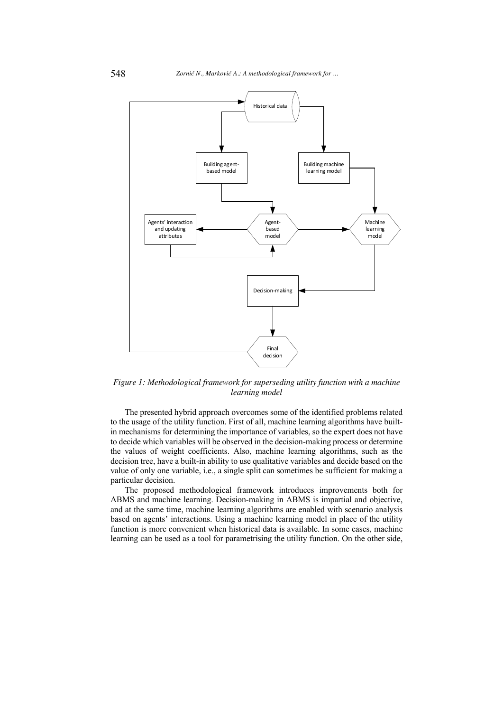

*Figure 1: Methodological framework for superseding utility function with a machine learning model*

The presented hybrid approach overcomes some of the identified problems related to the usage of the utility function. First of all, machine learning algorithms have builtin mechanisms for determining the importance of variables, so the expert does not have to decide which variables will be observed in the decision-making process or determine the values of weight coefficients. Also, machine learning algorithms, such as the decision tree, have a built-in ability to use qualitative variables and decide based on the value of only one variable, i.e., a single split can sometimes be sufficient for making a particular decision.

The proposed methodological framework introduces improvements both for ABMS and machine learning. Decision-making in ABMS is impartial and objective, and at the same time, machine learning algorithms are enabled with scenario analysis based on agents' interactions. Using a machine learning model in place of the utility function is more convenient when historical data is available. In some cases, machine learning can be used as a tool for parametrising the utility function. On the other side,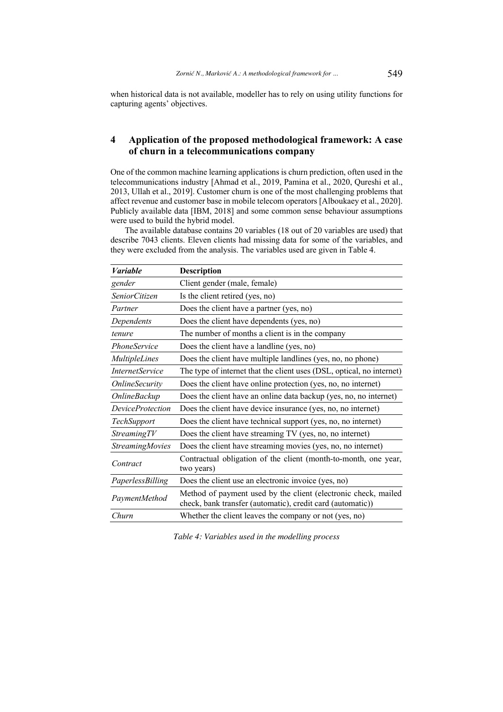when historical data is not available, modeller has to rely on using utility functions for capturing agents' objectives.

# **4 Application of the proposed methodological framework: A case of churn in a telecommunications company**

One of the common machine learning applications is churn prediction, often used in the telecommunications industry [Ahmad et al., 2019, Pamina et al., 2020, Qureshi et al., 2013, Ullah et al., 2019]. Customer churn is one of the most challenging problems that affect revenue and customer base in mobile telecom operators [Alboukaey et al., 2020]. Publicly available data [IBM, 2018] and some common sense behaviour assumptions were used to build the hybrid model.

The available database contains 20 variables (18 out of 20 variables are used) that describe 7043 clients. Eleven clients had missing data for some of the variables, and they were excluded from the analysis. The variables used are given in Table 4.

| <b>Variable</b>            | <b>Description</b>                                                                                                           |
|----------------------------|------------------------------------------------------------------------------------------------------------------------------|
| gender                     | Client gender (male, female)                                                                                                 |
| SeniorCitizen              | Is the client retired (yes, no)                                                                                              |
| Partner                    | Does the client have a partner (yes, no)                                                                                     |
| Dependents                 | Does the client have dependents (yes, no)                                                                                    |
| tenure                     | The number of months a client is in the company                                                                              |
| <i>PhoneService</i>        | Does the client have a landline (yes, no)                                                                                    |
| <i>MultipleLines</i>       | Does the client have multiple landlines (yes, no, no phone)                                                                  |
| <i>InternetService</i>     | The type of internet that the client uses (DSL, optical, no internet)                                                        |
| <b>OnlineSecurity</b>      | Does the client have online protection (yes, no, no internet)                                                                |
| <i><b>OnlineBackup</b></i> | Does the client have an online data backup (yes, no, no internet)                                                            |
| <i>DeviceProtection</i>    | Does the client have device insurance (yes, no, no internet)                                                                 |
| TechSupport                | Does the client have technical support (yes, no, no internet)                                                                |
| StreamingTV                | Does the client have streaming TV (yes, no, no internet)                                                                     |
| StreamingMovies            | Does the client have streaming movies (yes, no, no internet)                                                                 |
| Contract                   | Contractual obligation of the client (month-to-month, one year,<br>two years)                                                |
| PaperlessBilling           | Does the client use an electronic invoice (yes, no)                                                                          |
| PaymentMethod              | Method of payment used by the client (electronic check, mailed<br>check, bank transfer (automatic), credit card (automatic)) |
| Churn                      | Whether the client leaves the company or not (yes, no)                                                                       |

*Table 4: Variables used in the modelling process*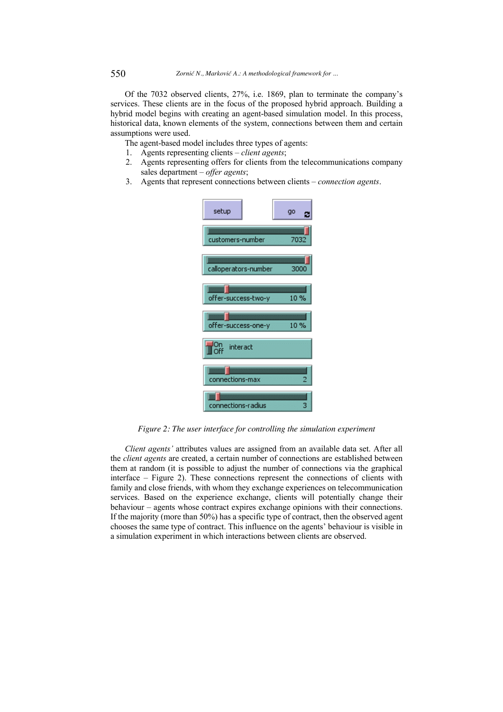Of the 7032 observed clients, 27%, i.e. 1869, plan to terminate the company's services. These clients are in the focus of the proposed hybrid approach. Building a hybrid model begins with creating an agent-based simulation model. In this process, historical data, known elements of the system, connections between them and certain assumptions were used.

The agent-based model includes three types of agents:

- 1. Agents representing clients *client agents*;
- 2. Agents representing offers for clients from the telecommunications company sales department – *offer agents*;
- 3. Agents that represent connections between clients *connection agents*.

| setup                  | qo   |
|------------------------|------|
| customers-number       | 7032 |
| calloperators-number   | 3000 |
| offer-success-two-y    | 10%  |
| offer-success-one-y    | 10%  |
| <b>Ton</b><br>interact |      |
| connections-max        | 2    |
| connections-radius     | З    |

*Figure 2: The user interface for controlling the simulation experiment*

*Client agents'* attributes values are assigned from an available data set. After all the *client agents* are created, a certain number of connections are established between them at random (it is possible to adjust the number of connections via the graphical interface – Figure 2). These connections represent the connections of clients with family and close friends, with whom they exchange experiences on telecommunication services. Based on the experience exchange, clients will potentially change their behaviour – agents whose contract expires exchange opinions with their connections. If the majority (more than 50%) has a specific type of contract, then the observed agent chooses the same type of contract. This influence on the agents' behaviour is visible in a simulation experiment in which interactions between clients are observed.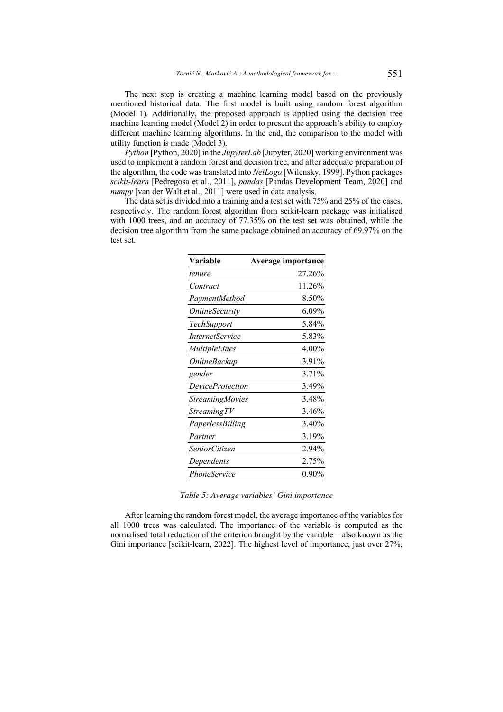The next step is creating a machine learning model based on the previously mentioned historical data. The first model is built using random forest algorithm (Model 1). Additionally, the proposed approach is applied using the decision tree machine learning model (Model 2) in order to present the approach's ability to employ different machine learning algorithms. In the end, the comparison to the model with utility function is made (Model 3).

*Python* [Python, 2020] in the *JupyterLab* [Jupyter, 2020] working environment was used to implement a random forest and decision tree, and after adequate preparation of the algorithm, the code was translated into *NetLogo* [Wilensky, 1999]. Python packages *scikit-learn* [Pedregosa et al., 2011], *pandas* [Pandas Development Team, 2020] and *numpy* [van der Walt et al., 2011] were used in data analysis.

The data set is divided into a training and a test set with 75% and 25% of the cases, respectively. The random forest algorithm from scikit-learn package was initialised with 1000 trees, and an accuracy of 77.35% on the test set was obtained, while the decision tree algorithm from the same package obtained an accuracy of 69.97% on the test set.

| Variable                     | <b>Average importance</b> |
|------------------------------|---------------------------|
| tenure                       | 27.26%                    |
| Contract                     | 11.26%                    |
| PaymentMethod                | 8.50%                     |
| <i><b>OnlineSecurity</b></i> | $6.09\%$                  |
| <i>TechSupport</i>           | 5.84%                     |
| <i>InternetService</i>       | 5.83%                     |
| <b>MultipleLines</b>         | 4.00%                     |
| OnlineBackup                 | 3.91%                     |
| gender                       | 3.71%                     |
| <i>DeviceProtection</i>      | 3.49%                     |
| <i>StreamingMovies</i>       | 3.48%                     |
| StreamingTV                  | 3.46%                     |
| PaperlessBilling             | 3.40%                     |
| Partner                      | 3.19%                     |
| SeniorCitizen                | 2.94%                     |
| Dependents                   | 2.75%                     |
| <i>PhoneService</i>          | $0.90\%$                  |
|                              |                           |

*Table 5: Average variables' Gini importance*

After learning the random forest model, the average importance of the variables for all 1000 trees was calculated. The importance of the variable is computed as the normalised total reduction of the criterion brought by the variable – also known as the Gini importance [scikit-learn, 2022]. The highest level of importance, just over 27%,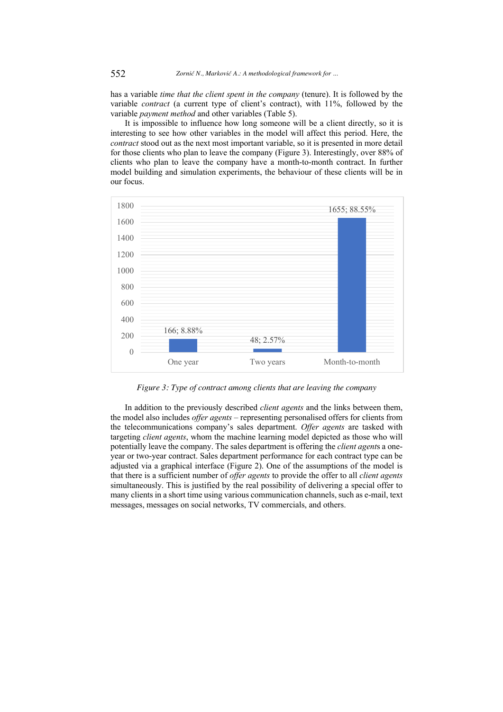has a variable *time that the client spent in the company* (tenure). It is followed by the variable *contract* (a current type of client's contract), with 11%, followed by the variable *payment method* and other variables (Table 5).

It is impossible to influence how long someone will be a client directly, so it is interesting to see how other variables in the model will affect this period. Here, the *contract* stood out as the next most important variable, so it is presented in more detail for those clients who plan to leave the company (Figure 3). Interestingly, over 88% of clients who plan to leave the company have a month-to-month contract. In further model building and simulation experiments, the behaviour of these clients will be in our focus.



*Figure 3: Type of contract among clients that are leaving the company*

In addition to the previously described *client agents* and the links between them, the model also includes *offer agents* – representing personalised offers for clients from the telecommunications company's sales department. *Offer agents* are tasked with targeting *client agents*, whom the machine learning model depicted as those who will potentially leave the company. The sales department is offering the *client agent*s a oneyear or two-year contract. Sales department performance for each contract type can be adjusted via a graphical interface (Figure 2). One of the assumptions of the model is that there is a sufficient number of *offer agents* to provide the offer to all *client agents* simultaneously. This is justified by the real possibility of delivering a special offer to many clients in a short time using various communication channels, such as e-mail, text messages, messages on social networks, TV commercials, and others.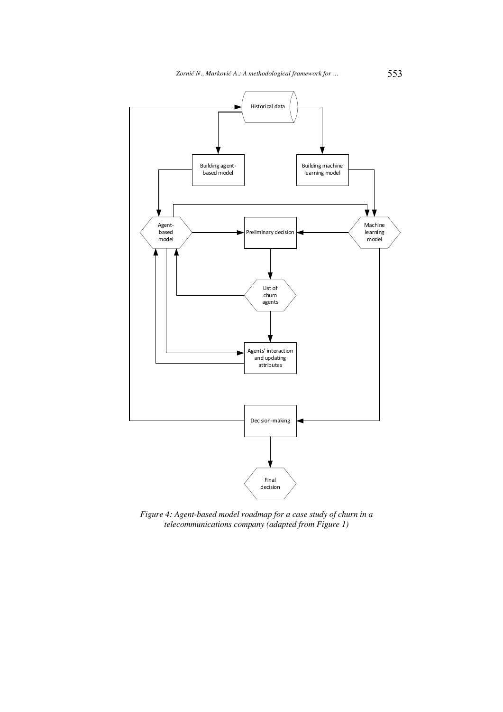

*Figure 4: Agent-based model roadmap for a case study of churn in a telecommunications company (adapted from Figure 1)*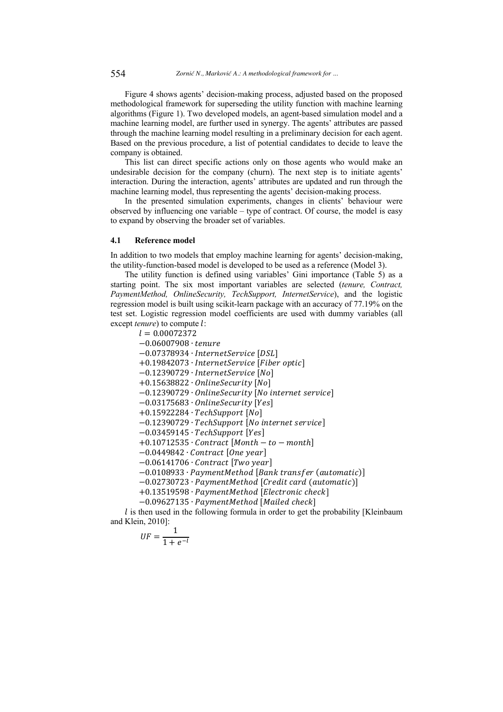Figure 4 shows agents' decision-making process, adjusted based on the proposed methodological framework for superseding the utility function with machine learning algorithms (Figure 1). Two developed models, an agent-based simulation model and a machine learning model, are further used in synergy. The agents' attributes are passed through the machine learning model resulting in a preliminary decision for each agent. Based on the previous procedure, a list of potential candidates to decide to leave the company is obtained.

This list can direct specific actions only on those agents who would make an undesirable decision for the company (churn). The next step is to initiate agents' interaction. During the interaction, agents' attributes are updated and run through the machine learning model, thus representing the agents' decision-making process.

In the presented simulation experiments, changes in clients' behaviour were observed by influencing one variable – type of contract. Of course, the model is easy to expand by observing the broader set of variables.

#### **4.1 Reference model**

In addition to two models that employ machine learning for agents' decision-making, the utility-function-based model is developed to be used as a reference (Model 3).

The utility function is defined using variables' Gini importance (Table 5) as a starting point. The six most important variables are selected (*tenure, Contract, PaymentMethod, OnlineSecurity, TechSupport, InternetService*), and the logistic regression model is built using scikit-learn package with an accuracy of 77.19% on the test set. Logistic regression model coefficients are used with dummy variables (all except *tenure*) to compute *l*:

 $l = 0.00072372$ 

−0.06007908 ∙

−0.07378934 · InternetService [DSL]

+0.19842073 ⋅ InternetService [Fiber optic]

 $-0.12390729 \cdot InternetService [No]$ 

 $+0.15638822 \cdot OnlineSecurity[No]$ 

−0.12390729 · OnlineSecurity [No internet service]

 $-0.03175683 \cdot 0$ nlineSecurity [Yes]

+0.15922284 ⋅ TechSupport [No]

−0.12390729 · TechSupport [No internet service]

−0.03459145 · TechSupport [Yes]

 $+0.10712535 \cdot Contract$  [Month – to – month]

- $-0.0449842 \cdot Contract$  [One year]
- $-0.06141706 \cdot$  Contract [Two year]

−0.0108933 ⋅ PaymentMethod [Bank transfer (automatic)]

−0.02730723 ⋅ PaymentMethod [Credit card (automatic)]

- +0.13519598 PaymentMethod [Electronic check]
- −0.09627135 · PaymentMethod [Mailed check]

 $l$  is then used in the following formula in order to get the probability [Kleinbaum] and Klein, 2010]:

$$
UF = \frac{1}{1 + e^{-l}}
$$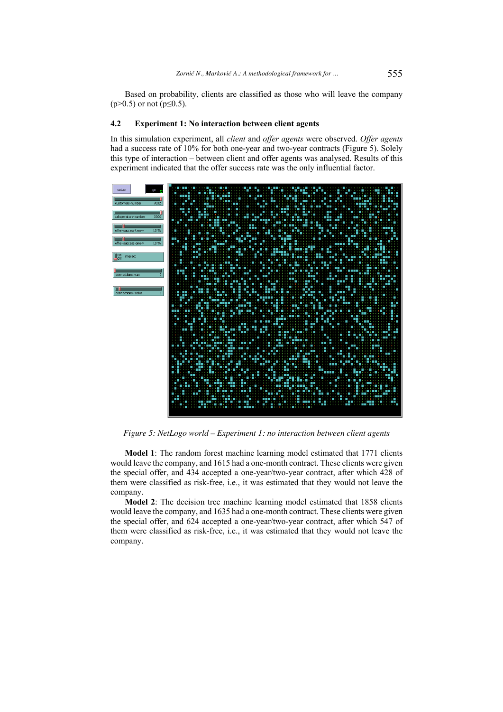Based on probability, clients are classified as those who will leave the company  $(p>0.5)$  or not  $(p\leq 0.5)$ .

#### **4.2 Experiment 1: No interaction between client agents**

In this simulation experiment, all *client* and *offer agents* were observed. *Offer agents* had a success rate of 10% for both one-year and two-year contracts (Figure 5). Solely this type of interaction – between client and offer agents was analysed. Results of this experiment indicated that the offer success rate was the only influential factor.



*Figure 5: NetLogo world – Experiment 1: no interaction between client agents*

**Model 1**: The random forest machine learning model estimated that 1771 clients would leave the company, and 1615 had a one-month contract. These clients were given the special offer, and 434 accepted a one-year/two-year contract, after which 428 of them were classified as risk-free, i.e., it was estimated that they would not leave the company.

**Model 2**: The decision tree machine learning model estimated that 1858 clients would leave the company, and 1635 had a one-month contract. These clients were given the special offer, and 624 accepted a one-year/two-year contract, after which 547 of them were classified as risk-free, i.e., it was estimated that they would not leave the company.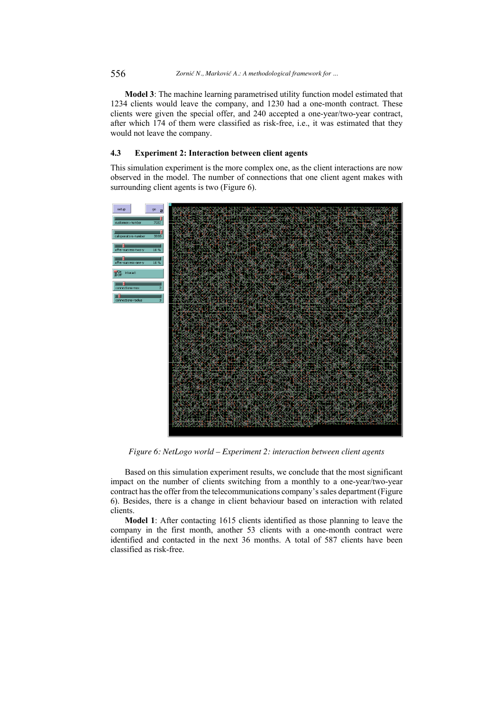**Model 3**: The machine learning parametrised utility function model estimated that 1234 clients would leave the company, and 1230 had a one-month contract. These clients were given the special offer, and 240 accepted a one-year/two-year contract, after which 174 of them were classified as risk-free, i.e., it was estimated that they would not leave the company.

### **4.3 Experiment 2: Interaction between client agents**

This simulation experiment is the more complex one, as the client interactions are now observed in the model. The number of connections that one client agent makes with surrounding client agents is two (Figure 6).



*Figure 6: NetLogo world – Experiment 2: interaction between client agents*

Based on this simulation experiment results, we conclude that the most significant impact on the number of clients switching from a monthly to a one-year/two-year contract has the offer from the telecommunications company's sales department (Figure 6). Besides, there is a change in client behaviour based on interaction with related clients.

**Model 1**: After contacting 1615 clients identified as those planning to leave the company in the first month, another 53 clients with a one-month contract were identified and contacted in the next 36 months. A total of 587 clients have been classified as risk-free.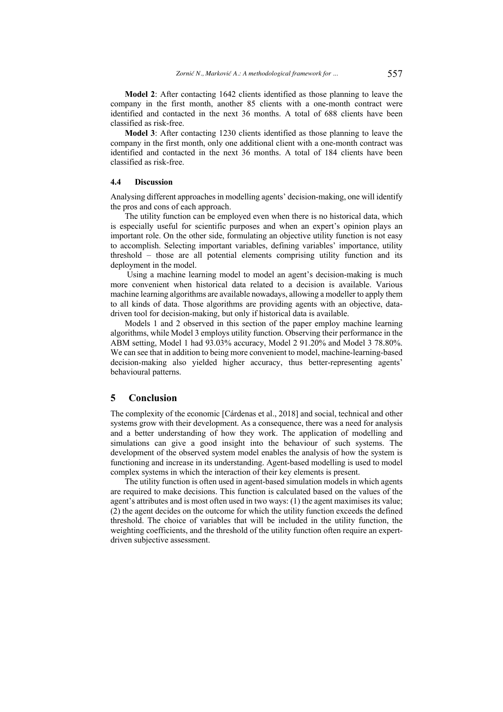**Model 2**: After contacting 1642 clients identified as those planning to leave the company in the first month, another 85 clients with a one-month contract were identified and contacted in the next 36 months. A total of 688 clients have been classified as risk-free.

**Model 3**: After contacting 1230 clients identified as those planning to leave the company in the first month, only one additional client with a one-month contract was identified and contacted in the next 36 months. A total of 184 clients have been classified as risk-free.

#### **4.4 Discussion**

Analysing different approaches in modelling agents' decision-making, one will identify the pros and cons of each approach.

The utility function can be employed even when there is no historical data, which is especially useful for scientific purposes and when an expert's opinion plays an important role. On the other side, formulating an objective utility function is not easy to accomplish. Selecting important variables, defining variables' importance, utility threshold – those are all potential elements comprising utility function and its deployment in the model.

Using a machine learning model to model an agent's decision-making is much more convenient when historical data related to a decision is available. Various machine learning algorithms are available nowadays, allowing a modeller to apply them to all kinds of data. Those algorithms are providing agents with an objective, datadriven tool for decision-making, but only if historical data is available.

Models 1 and 2 observed in this section of the paper employ machine learning algorithms, while Model 3 employs utility function. Observing their performance in the ABM setting, Model 1 had 93.03% accuracy, Model 2 91.20% and Model 3 78.80%. We can see that in addition to being more convenient to model, machine-learning-based decision-making also yielded higher accuracy, thus better-representing agents' behavioural patterns.

## **5 Conclusion**

The complexity of the economic [Cárdenas et al., 2018] and social, technical and other systems grow with their development. As a consequence, there was a need for analysis and a better understanding of how they work. The application of modelling and simulations can give a good insight into the behaviour of such systems. The development of the observed system model enables the analysis of how the system is functioning and increase in its understanding. Agent-based modelling is used to model complex systems in which the interaction of their key elements is present.

The utility function is often used in agent-based simulation models in which agents are required to make decisions. This function is calculated based on the values of the agent's attributes and is most often used in two ways: (1) the agent maximises its value; (2) the agent decides on the outcome for which the utility function exceeds the defined threshold. The choice of variables that will be included in the utility function, the weighting coefficients, and the threshold of the utility function often require an expertdriven subjective assessment.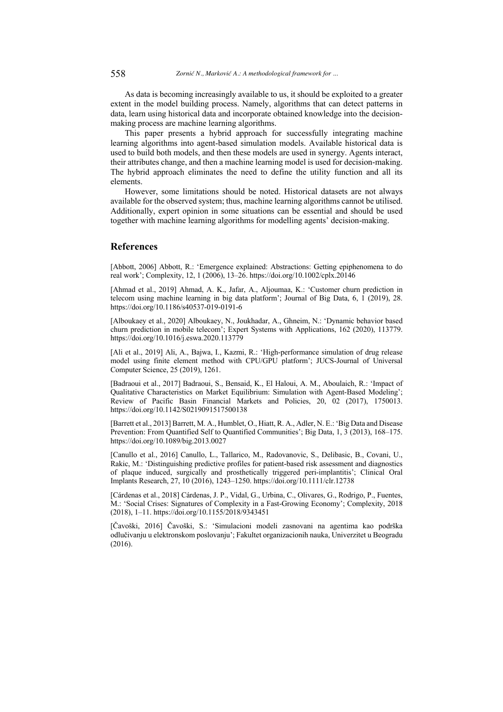As data is becoming increasingly available to us, it should be exploited to a greater extent in the model building process. Namely, algorithms that can detect patterns in data, learn using historical data and incorporate obtained knowledge into the decisionmaking process are machine learning algorithms.

This paper presents a hybrid approach for successfully integrating machine learning algorithms into agent-based simulation models. Available historical data is used to build both models, and then these models are used in synergy. Agents interact, their attributes change, and then a machine learning model is used for decision-making. The hybrid approach eliminates the need to define the utility function and all its elements.

However, some limitations should be noted. Historical datasets are not always available for the observed system; thus, machine learning algorithms cannot be utilised. Additionally, expert opinion in some situations can be essential and should be used together with machine learning algorithms for modelling agents' decision-making.

#### **References**

[Abbott, 2006] Abbott, R.: 'Emergence explained: Abstractions: Getting epiphenomena to do real work'; Complexity, 12, 1 (2006), 13–26. https://doi.org/10.1002/cplx.20146

[Ahmad et al., 2019] Ahmad, A. K., Jafar, A., Aljoumaa, K.: 'Customer churn prediction in telecom using machine learning in big data platform'; Journal of Big Data, 6, 1 (2019), 28. https://doi.org/10.1186/s40537-019-0191-6

[Alboukaey et al., 2020] Alboukaey, N., Joukhadar, A., Ghneim, N.: 'Dynamic behavior based churn prediction in mobile telecom'; Expert Systems with Applications, 162 (2020), 113779. https://doi.org/10.1016/j.eswa.2020.113779

[Ali et al., 2019] Ali, A., Bajwa, I., Kazmi, R.: 'High-performance simulation of drug release model using finite element method with CPU/GPU platform'; JUCS-Journal of Universal Computer Science, 25 (2019), 1261.

[Badraoui et al., 2017] Badraoui, S., Bensaid, K., El Haloui, A. M., Aboulaich, R.: 'Impact of Qualitative Characteristics on Market Equilibrium: Simulation with Agent-Based Modeling'; Review of Pacific Basin Financial Markets and Policies, 20, 02 (2017), 1750013. https://doi.org/10.1142/S0219091517500138

[Barrett et al., 2013] Barrett, M. A., Humblet, O., Hiatt, R. A., Adler, N. E.: 'Big Data and Disease Prevention: From Quantified Self to Quantified Communities'; Big Data, 1, 3 (2013), 168–175. https://doi.org/10.1089/big.2013.0027

[Canullo et al., 2016] Canullo, L., Tallarico, M., Radovanovic, S., Delibasic, B., Covani, U., Rakic, M.: 'Distinguishing predictive profiles for patient-based risk assessment and diagnostics of plaque induced, surgically and prosthetically triggered peri-implantitis'; Clinical Oral Implants Research, 27, 10 (2016), 1243–1250. https://doi.org/10.1111/clr.12738

[Cárdenas et al., 2018] Cárdenas, J. P., Vidal, G., Urbina, C., Olivares, G., Rodrigo, P., Fuentes, M.: 'Social Crises: Signatures of Complexity in a Fast-Growing Economy'; Complexity, 2018 (2018), 1–11. https://doi.org/10.1155/2018/9343451

[Čavoški, 2016] Čavoški, S.: 'Simulacioni modeli zasnovani na agentima kao podrška odlučivanju u elektronskom poslovanju'; Fakultet organizacionih nauka, Univerzitet u Beogradu (2016).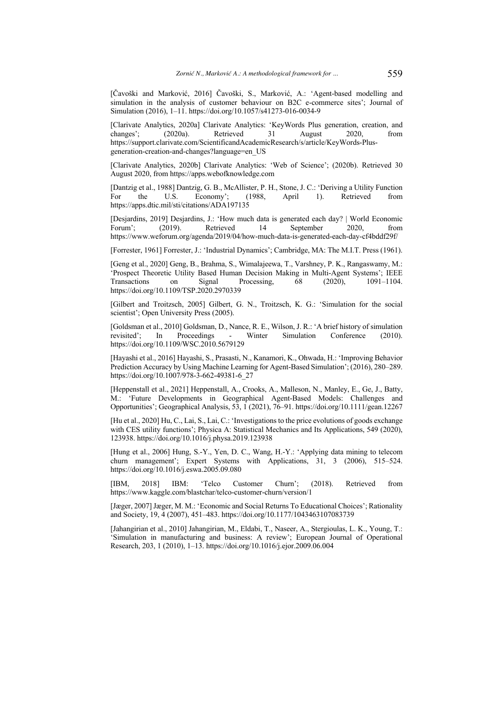[Čavoški and Marković, 2016] Čavoški, S., Marković, A.: 'Agent-based modelling and simulation in the analysis of customer behaviour on B2C e-commerce sites'; Journal of Simulation (2016), 1–11. https://doi.org/10.1057/s41273-016-0034-9

[Clarivate Analytics, 2020a] Clarivate Analytics: 'KeyWords Plus generation, creation, and changes'; (2020a). Retrieved 31 August 2020, from https://support.clarivate.com/ScientificandAcademicResearch/s/article/KeyWords-Plusgeneration-creation-and-changes?language=en\_US

[Clarivate Analytics, 2020b] Clarivate Analytics: 'Web of Science'; (2020b). Retrieved 30 August 2020, from https://apps.webofknowledge.com

[Dantzig et al., 1988] Dantzig, G. B., McAllister, P. H., Stone, J. C.: 'Deriving a Utility Function For the U.S. Economy'; (1988, April 1). Retrieved from https://apps.dtic.mil/sti/citations/ADA197135

[Desjardins, 2019] Desjardins, J.: 'How much data is generated each day? | World Economic Forum'; (2019). Retrieved 14 September 2020, from https://www.weforum.org/agenda/2019/04/how-much-data-is-generated-each-day-cf4bddf29f/

[Forrester, 1961] Forrester, J.: 'Industrial Dynamics'; Cambridge, MA: The M.I.T. Press (1961).

[Geng et al., 2020] Geng, B., Brahma, S., Wimalajeewa, T., Varshney, P. K., Rangaswamy, M.: 'Prospect Theoretic Utility Based Human Decision Making in Multi-Agent Systems'; IEEE Transactions on Signal Processing, 68 (2020), 1091–1104. https://doi.org/10.1109/TSP.2020.2970339

[Gilbert and Troitzsch, 2005] Gilbert, G. N., Troitzsch, K. G.: 'Simulation for the social scientist'; Open University Press (2005).

[Goldsman et al., 2010] Goldsman, D., Nance, R. E., Wilson, J. R.: 'A brief history of simulation revisited'; In Proceedings - Winter Simulation Conference (2010). https://doi.org/10.1109/WSC.2010.5679129

[Hayashi et al., 2016] Hayashi, S., Prasasti, N., Kanamori, K., Ohwada, H.: 'Improving Behavior Prediction Accuracy by Using Machine Learning for Agent-Based Simulation'; (2016), 280–289. https://doi.org/10.1007/978-3-662-49381-6\_27

[Heppenstall et al., 2021] Heppenstall, A., Crooks, A., Malleson, N., Manley, E., Ge, J., Batty, M.: 'Future Developments in Geographical Agent‐Based Models: Challenges and Opportunities'; Geographical Analysis, 53, 1 (2021), 76–91. https://doi.org/10.1111/gean.12267

[Hu et al., 2020] Hu, C., Lai, S., Lai, C.: 'Investigations to the price evolutions of goods exchange with CES utility functions'; Physica A: Statistical Mechanics and Its Applications, 549 (2020), 123938. https://doi.org/10.1016/j.physa.2019.123938

[Hung et al., 2006] Hung, S.-Y., Yen, D. C., Wang, H.-Y.: 'Applying data mining to telecom churn management'; Expert Systems with Applications, 31, 3 (2006), 515–524. https://doi.org/10.1016/j.eswa.2005.09.080

[IBM, 2018] IBM: 'Telco Customer Churn'; (2018). Retrieved from https://www.kaggle.com/blastchar/telco-customer-churn/version/1

[Jæger, 2007] Jæger, M. M.: 'Economic and Social Returns To Educational Choices'; Rationality and Society, 19, 4 (2007), 451–483. https://doi.org/10.1177/1043463107083739

[Jahangirian et al., 2010] Jahangirian, M., Eldabi, T., Naseer, A., Stergioulas, L. K., Young, T.: 'Simulation in manufacturing and business: A review'; European Journal of Operational Research, 203, 1 (2010), 1–13. https://doi.org/10.1016/j.ejor.2009.06.004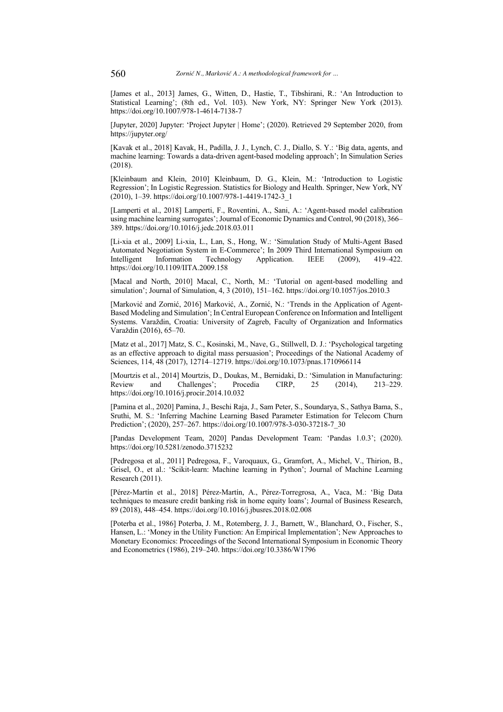[James et al., 2013] James, G., Witten, D., Hastie, T., Tibshirani, R.: 'An Introduction to Statistical Learning'; (8th ed., Vol. 103). New York, NY: Springer New York (2013). https://doi.org/10.1007/978-1-4614-7138-7

[Jupyter, 2020] Jupyter: 'Project Jupyter | Home'; (2020). Retrieved 29 September 2020, from https://jupyter.org/

[Kavak et al., 2018] Kavak, H., Padilla, J. J., Lynch, C. J., Diallo, S. Y.: 'Big data, agents, and machine learning: Towards a data-driven agent-based modeling approach'; In Simulation Series (2018).

[Kleinbaum and Klein, 2010] Kleinbaum, D. G., Klein, M.: 'Introduction to Logistic Regression'; In Logistic Regression. Statistics for Biology and Health. Springer, New York, NY (2010), 1–39. https://doi.org/10.1007/978-1-4419-1742-3\_1

[Lamperti et al., 2018] Lamperti, F., Roventini, A., Sani, A.: 'Agent-based model calibration using machine learning surrogates'; Journal of Economic Dynamics and Control, 90 (2018), 366– 389. https://doi.org/10.1016/j.jedc.2018.03.011

[Li-xia et al., 2009] Li-xia, L., Lan, S., Hong, W.: 'Simulation Study of Multi-Agent Based Automated Negotiation System in E-Commerce'; In 2009 Third International Symposium on Intelligent Information Technology Application. IEEE (2009), 419-422. Intelligent Information Technology Application. IEEE (2009), 419–422. https://doi.org/10.1109/IITA.2009.158

[Macal and North, 2010] Macal, C., North, M.: 'Tutorial on agent-based modelling and simulation'; Journal of Simulation, 4, 3 (2010), 151–162. https://doi.org/10.1057/jos.2010.3

[Marković and Zornić, 2016] Marković, A., Zornić, N.: 'Trends in the Application of Agent-Based Modeling and Simulation'; In Central European Conference on Information and Intelligent Systems. Varaždin, Croatia: University of Zagreb, Faculty of Organization and Informatics Varaždin (2016), 65–70.

[Matz et al., 2017] Matz, S. C., Kosinski, M., Nave, G., Stillwell, D. J.: 'Psychological targeting as an effective approach to digital mass persuasion'; Proceedings of the National Academy of Sciences, 114, 48 (2017), 12714–12719. https://doi.org/10.1073/pnas.1710966114

[Mourtzis et al., 2014] Mourtzis, D., Doukas, M., Bernidaki, D.: 'Simulation in Manufacturing: Review and Challenges'; Procedia CIRP, 25 (2014), 213–229. https://doi.org/10.1016/j.procir.2014.10.032

[Pamina et al., 2020] Pamina, J., Beschi Raja, J., Sam Peter, S., Soundarya, S., Sathya Bama, S., Sruthi, M. S.: 'Inferring Machine Learning Based Parameter Estimation for Telecom Churn Prediction'; (2020), 257-267. https://doi.org/10.1007/978-3-030-37218-7\_30

[Pandas Development Team, 2020] Pandas Development Team: 'Pandas 1.0.3'; (2020). https://doi.org/10.5281/zenodo.3715232

[Pedregosa et al., 2011] Pedregosa, F., Varoquaux, G., Gramfort, A., Michel, V., Thirion, B., Grisel, O., et al.: 'Scikit-learn: Machine learning in Python'; Journal of Machine Learning Research (2011).

[Pérez-Martín et al., 2018] Pérez-Martín, A., Pérez-Torregrosa, A., Vaca, M.: 'Big Data techniques to measure credit banking risk in home equity loans'; Journal of Business Research, 89 (2018), 448–454. https://doi.org/10.1016/j.jbusres.2018.02.008

[Poterba et al., 1986] Poterba, J. M., Rotemberg, J. J., Barnett, W., Blanchard, O., Fischer, S., Hansen, L.: 'Money in the Utility Function: An Empirical Implementation'; New Approaches to Monetary Economics: Proceedings of the Second International Symposium in Economic Theory and Econometrics (1986), 219–240. https://doi.org/10.3386/W1796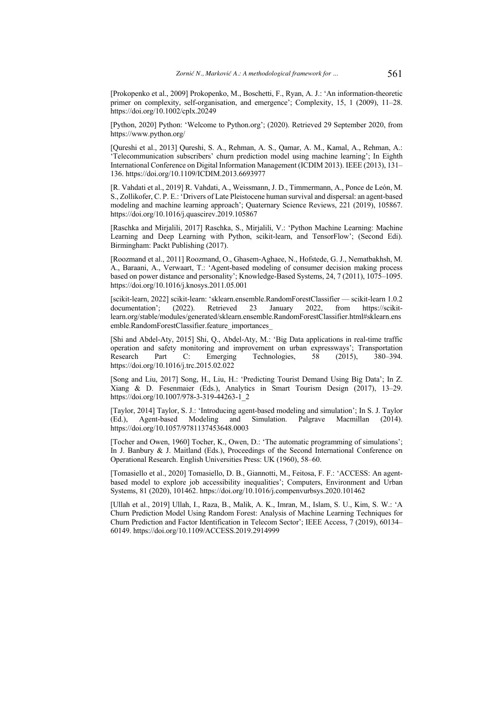[Prokopenko et al., 2009] Prokopenko, M., Boschetti, F., Ryan, A. J.: 'An information-theoretic primer on complexity, self-organisation, and emergence'; Complexity, 15, 1 (2009), 11–28. https://doi.org/10.1002/cplx.20249

[Python, 2020] Python: 'Welcome to Python.org'; (2020). Retrieved 29 September 2020, from https://www.python.org/

[Qureshi et al., 2013] Qureshi, S. A., Rehman, A. S., Qamar, A. M., Kamal, A., Rehman, A.: 'Telecommunication subscribers' churn prediction model using machine learning'; In Eighth International Conference on Digital Information Management (ICDIM 2013). IEEE (2013), 131– 136. https://doi.org/10.1109/ICDIM.2013.6693977

[R. Vahdati et al., 2019] R. Vahdati, A., Weissmann, J. D., Timmermann, A., Ponce de León, M. S., Zollikofer, C. P. E.: 'Drivers of Late Pleistocene human survival and dispersal: an agent-based modeling and machine learning approach'; Quaternary Science Reviews, 221 (2019), 105867. https://doi.org/10.1016/j.quascirev.2019.105867

[Raschka and Mirjalili, 2017] Raschka, S., Mirjalili, V.: 'Python Machine Learning: Machine Learning and Deep Learning with Python, scikit-learn, and TensorFlow'; (Second Edi). Birmingham: Packt Publishing (2017).

[Roozmand et al., 2011] Roozmand, O., Ghasem-Aghaee, N., Hofstede, G. J., Nematbakhsh, M. A., Baraani, A., Verwaart, T.: 'Agent-based modeling of consumer decision making process based on power distance and personality'; Knowledge-Based Systems, 24, 7 (2011), 1075–1095. https://doi.org/10.1016/j.knosys.2011.05.001

[scikit-learn, 2022] scikit-learn: 'sklearn.ensemble.RandomForestClassifier — scikit-learn 1.0.2 documentation'; (2022). Retrieved 23 January 2022, from https://scikitlearn.org/stable/modules/generated/sklearn.ensemble.RandomForestClassifier.html#sklearn.ens emble.RandomForestClassifier.feature\_importances\_

[Shi and Abdel-Aty, 2015] Shi, Q., Abdel-Aty, M.: 'Big Data applications in real-time traffic operation and safety monitoring and improvement on urban expressways'; Transportation<br>Research Part C: Emerging Technologies, 58 (2015), 380-394. Research Part C: Emerging Technologies, 58 (2015), 380–394. https://doi.org/10.1016/j.trc.2015.02.022

[Song and Liu, 2017] Song, H., Liu, H.: 'Predicting Tourist Demand Using Big Data'; In Z. Xiang & D. Fesenmaier (Eds.), Analytics in Smart Tourism Design (2017), 13–29. https://doi.org/10.1007/978-3-319-44263-1\_2

[Taylor, 2014] Taylor, S. J.: 'Introducing agent-based modeling and simulation'; In S. J. Taylor (Ed.), Agent-based Modeling and Simulation. Palgrave Macmillan (2014). https://doi.org/10.1057/9781137453648.0003

[Tocher and Owen, 1960] Tocher, K., Owen, D.: 'The automatic programming of simulations'; In J. Banbury & J. Maitland (Eds.), Proceedings of the Second International Conference on Operational Research. English Universities Press: UK (1960), 58–60.

[Tomasiello et al., 2020] Tomasiello, D. B., Giannotti, M., Feitosa, F. F.: 'ACCESS: An agentbased model to explore job accessibility inequalities'; Computers, Environment and Urban Systems, 81 (2020), 101462. https://doi.org/10.1016/j.compenvurbsys.2020.101462

[Ullah et al., 2019] Ullah, I., Raza, B., Malik, A. K., Imran, M., Islam, S. U., Kim, S. W.: 'A Churn Prediction Model Using Random Forest: Analysis of Machine Learning Techniques for Churn Prediction and Factor Identification in Telecom Sector'; IEEE Access, 7 (2019), 60134– 60149. https://doi.org/10.1109/ACCESS.2019.2914999